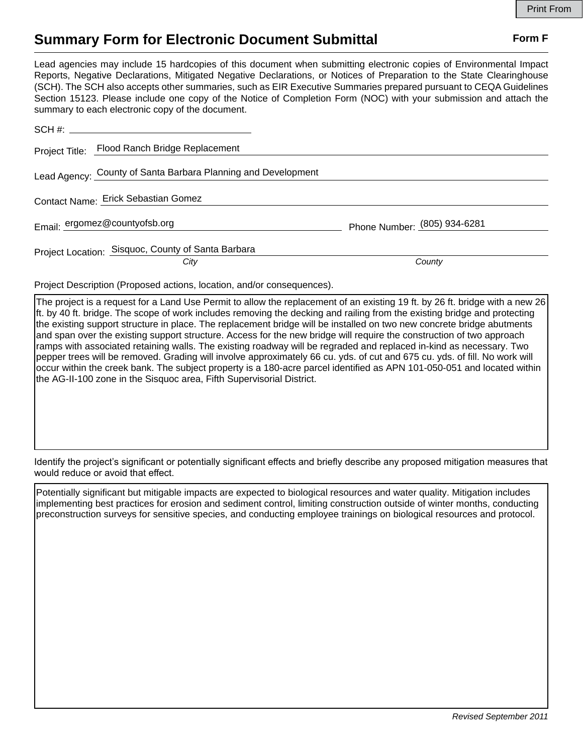## **Summary Form for Electronic Document Submittal Form F Form F**

Lead agencies may include 15 hardcopies of this document when submitting electronic copies of Environmental Impact Reports, Negative Declarations, Mitigated Negative Declarations, or Notices of Preparation to the State Clearinghouse (SCH). The SCH also accepts other summaries, such as EIR Executive Summaries prepared pursuant to CEQA Guidelines Section 15123. Please include one copy of the Notice of Completion Form (NOC) with your submission and attach the summary to each electronic copy of the document.

| $SCH \#:$                                                     |                              |
|---------------------------------------------------------------|------------------------------|
| Project Title: Flood Ranch Bridge Replacement                 |                              |
| Lead Agency: County of Santa Barbara Planning and Development |                              |
| Contact Name: Erick Sebastian Gomez                           |                              |
| Email: ergomez@countyofsb.org                                 | Phone Number: (805) 934-6281 |
| Project Location: Sisquoc, County of Santa Barbara<br>City    | County                       |

Project Description (Proposed actions, location, and/or consequences).

The project is a request for a Land Use Permit to allow the replacement of an existing 19 ft. by 26 ft. bridge with a new 26 ft. by 40 ft. bridge. The scope of work includes removing the decking and railing from the existing bridge and protecting the existing support structure in place. The replacement bridge will be installed on two new concrete bridge abutments and span over the existing support structure. Access for the new bridge will require the construction of two approach ramps with associated retaining walls. The existing roadway will be regraded and replaced in-kind as necessary. Two pepper trees will be removed. Grading will involve approximately 66 cu. yds. of cut and 675 cu. yds. of fill. No work will occur within the creek bank. The subject property is a 180-acre parcel identified as APN 101-050-051 and located within the AG-II-100 zone in the Sisquoc area, Fifth Supervisorial District.

Identify the project's significant or potentially significant effects and briefly describe any proposed mitigation measures that would reduce or avoid that effect.

Potentially significant but mitigable impacts are expected to biological resources and water quality. Mitigation includes implementing best practices for erosion and sediment control, limiting construction outside of winter months, conducting preconstruction surveys for sensitive species, and conducting employee trainings on biological resources and protocol.